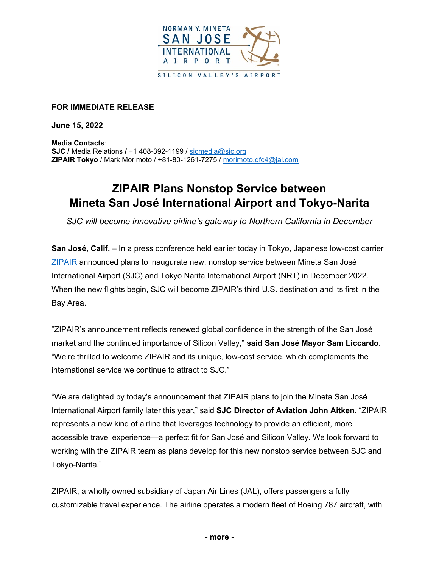

## **FOR IMMEDIATE RELEASE**

**June 15, 2022**

**Media Contacts**: **SJC /** Media Relations **/** +1 408-392-1199 / [sjcmedia@sjc.org](mailto:sjcmedia@sjc.org) **ZIPAIR Tokyo** / Mark Morimoto / +81-80-1261-7275 / [morimoto.qfc4@jal.com](mailto:morimoto.qfc4@jal.com)

## **ZIPAIR Plans Nonstop Service between Mineta San José International Airport and Tokyo-Narita**

*SJC will become innovative airline's gateway to Northern California in December*

**San José, Calif.** – In a press conference held earlier today in Tokyo, Japanese low-cost carrier [ZIPAIR](https://www.zipair.net/en) announced plans to inaugurate new, nonstop service between Mineta San José International Airport (SJC) and Tokyo Narita International Airport (NRT) in December 2022. When the new flights begin, SJC will become ZIPAIR's third U.S. destination and its first in the Bay Area.

"ZIPAIR's announcement reflects renewed global confidence in the strength of the San José market and the continued importance of Silicon Valley," **said San José Mayor Sam Liccardo**. "We're thrilled to welcome ZIPAIR and its unique, low-cost service, which complements the international service we continue to attract to SJC."

"We are delighted by today's announcement that ZIPAIR plans to join the Mineta San José International Airport family later this year," said **SJC Director of Aviation John Aitken**. "ZIPAIR represents a new kind of airline that leverages technology to provide an efficient, more accessible travel experience—a perfect fit for San José and Silicon Valley. We look forward to working with the ZIPAIR team as plans develop for this new nonstop service between SJC and Tokyo-Narita."

ZIPAIR, a wholly owned subsidiary of Japan Air Lines (JAL), offers passengers a fully customizable travel experience. The airline operates a modern fleet of Boeing 787 aircraft, with